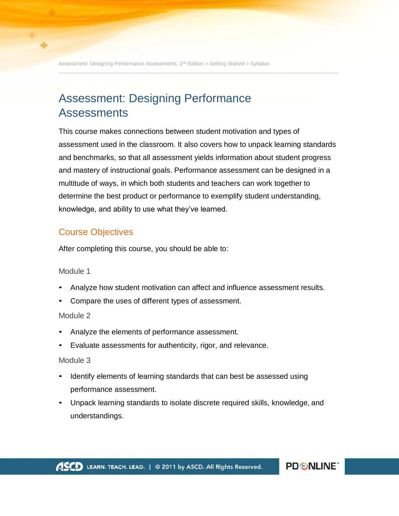Assessment: Designing Performance Assessments, 2<sup>nd</sup> Edition > Getting Started > Syllabus

# Assessment: Designing Performance Assessments

This course makes connections between student motivation and types of assessment used in the classroom. It also covers how to unpack learning standards and benchmarks, so that all assessment yields information about student progress and mastery of instructional goals. Performance assessment can be designed in a multitude of ways, in which both students and teachers can work together to determine the best product or performance to exemplify student understanding, knowledge, and ability to use what they've learned.

### Course Objectives

After completing this course, you should be able to:

#### Module 1

- Analyze how student motivation can affect and influence assessment results.
- Compare the uses of different types of assessment.

#### Module 2

- Analyze the elements of performance assessment.
- Evaluate assessments for authenticity, rigor, and relevance.

#### Module 3

- Identify elements of learning standards that can best be assessed using performance assessment.
- Unpack learning standards to isolate discrete required skills, knowledge, and understandings.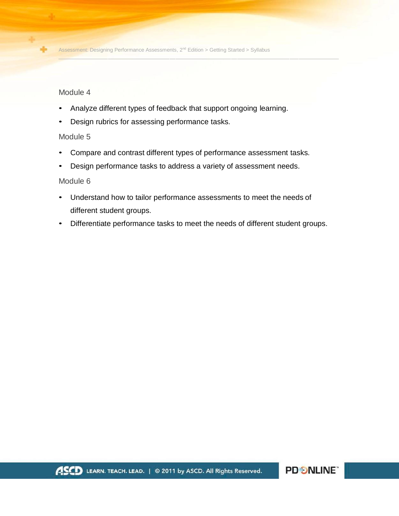Module 4

- Analyze different types of feedback that support ongoing learning.
- Design rubrics for assessing performance tasks.

#### Module 5

- Compare and contrast different types of performance assessment tasks.
- Design performance tasks to address a variety of assessment needs.

#### Module 6

- Understand how to tailor performance assessments to meet the needs of different student groups.
- Differentiate performance tasks to meet the needs of different student groups.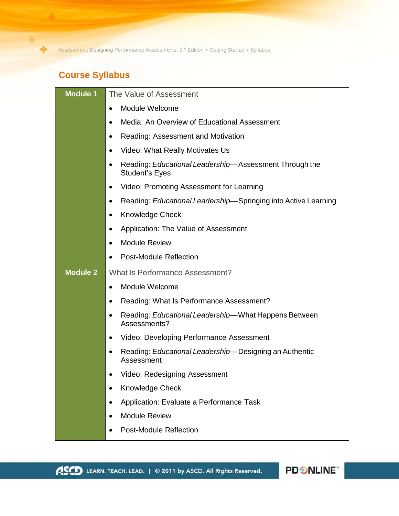## **Course Syllabus**

÷

| Module Welcome<br>$\bullet$<br>Media: An Overview of Educational Assessment<br>$\bullet$<br>Reading: Assessment and Motivation<br>$\bullet$<br>Video: What Really Motivates Us<br>$\bullet$<br>Reading: Educational Leadership-Assessment Through the<br>$\bullet$<br><b>Student's Eyes</b><br>Video: Promoting Assessment for Learning<br>$\bullet$<br>Reading: Educational Leadership-Springing into Active Learning<br>٠<br><b>Knowledge Check</b><br>$\bullet$<br>Application: The Value of Assessment<br>٠<br><b>Module Review</b><br>$\bullet$<br><b>Post-Module Reflection</b><br><b>Module 2</b><br>What Is Performance Assessment?<br>Module Welcome<br>$\bullet$<br>Reading: What Is Performance Assessment?<br>٠<br>Reading: Educational Leadership—What Happens Between<br>$\bullet$<br>Assessments?<br>Video: Developing Performance Assessment<br>$\bullet$<br>Reading: Educational Leadership-Designing an Authentic<br>Assessment<br>Video: Redesigning Assessment<br>Knowledge Check<br>$\bullet$<br>Application: Evaluate a Performance Task<br>$\bullet$<br><b>Module Review</b><br><b>Post-Module Reflection</b> | <b>Module 1</b> | The Value of Assessment |
|--------------------------------------------------------------------------------------------------------------------------------------------------------------------------------------------------------------------------------------------------------------------------------------------------------------------------------------------------------------------------------------------------------------------------------------------------------------------------------------------------------------------------------------------------------------------------------------------------------------------------------------------------------------------------------------------------------------------------------------------------------------------------------------------------------------------------------------------------------------------------------------------------------------------------------------------------------------------------------------------------------------------------------------------------------------------------------------------------------------------------------------|-----------------|-------------------------|
|                                                                                                                                                                                                                                                                                                                                                                                                                                                                                                                                                                                                                                                                                                                                                                                                                                                                                                                                                                                                                                                                                                                                      |                 |                         |
|                                                                                                                                                                                                                                                                                                                                                                                                                                                                                                                                                                                                                                                                                                                                                                                                                                                                                                                                                                                                                                                                                                                                      |                 |                         |
|                                                                                                                                                                                                                                                                                                                                                                                                                                                                                                                                                                                                                                                                                                                                                                                                                                                                                                                                                                                                                                                                                                                                      |                 |                         |
|                                                                                                                                                                                                                                                                                                                                                                                                                                                                                                                                                                                                                                                                                                                                                                                                                                                                                                                                                                                                                                                                                                                                      |                 |                         |
|                                                                                                                                                                                                                                                                                                                                                                                                                                                                                                                                                                                                                                                                                                                                                                                                                                                                                                                                                                                                                                                                                                                                      |                 |                         |
|                                                                                                                                                                                                                                                                                                                                                                                                                                                                                                                                                                                                                                                                                                                                                                                                                                                                                                                                                                                                                                                                                                                                      |                 |                         |
|                                                                                                                                                                                                                                                                                                                                                                                                                                                                                                                                                                                                                                                                                                                                                                                                                                                                                                                                                                                                                                                                                                                                      |                 |                         |
|                                                                                                                                                                                                                                                                                                                                                                                                                                                                                                                                                                                                                                                                                                                                                                                                                                                                                                                                                                                                                                                                                                                                      |                 |                         |
|                                                                                                                                                                                                                                                                                                                                                                                                                                                                                                                                                                                                                                                                                                                                                                                                                                                                                                                                                                                                                                                                                                                                      |                 |                         |
|                                                                                                                                                                                                                                                                                                                                                                                                                                                                                                                                                                                                                                                                                                                                                                                                                                                                                                                                                                                                                                                                                                                                      |                 |                         |
|                                                                                                                                                                                                                                                                                                                                                                                                                                                                                                                                                                                                                                                                                                                                                                                                                                                                                                                                                                                                                                                                                                                                      |                 |                         |
|                                                                                                                                                                                                                                                                                                                                                                                                                                                                                                                                                                                                                                                                                                                                                                                                                                                                                                                                                                                                                                                                                                                                      |                 |                         |
|                                                                                                                                                                                                                                                                                                                                                                                                                                                                                                                                                                                                                                                                                                                                                                                                                                                                                                                                                                                                                                                                                                                                      |                 |                         |
|                                                                                                                                                                                                                                                                                                                                                                                                                                                                                                                                                                                                                                                                                                                                                                                                                                                                                                                                                                                                                                                                                                                                      |                 |                         |
|                                                                                                                                                                                                                                                                                                                                                                                                                                                                                                                                                                                                                                                                                                                                                                                                                                                                                                                                                                                                                                                                                                                                      |                 |                         |
|                                                                                                                                                                                                                                                                                                                                                                                                                                                                                                                                                                                                                                                                                                                                                                                                                                                                                                                                                                                                                                                                                                                                      |                 |                         |
|                                                                                                                                                                                                                                                                                                                                                                                                                                                                                                                                                                                                                                                                                                                                                                                                                                                                                                                                                                                                                                                                                                                                      |                 |                         |
|                                                                                                                                                                                                                                                                                                                                                                                                                                                                                                                                                                                                                                                                                                                                                                                                                                                                                                                                                                                                                                                                                                                                      |                 |                         |
|                                                                                                                                                                                                                                                                                                                                                                                                                                                                                                                                                                                                                                                                                                                                                                                                                                                                                                                                                                                                                                                                                                                                      |                 |                         |
|                                                                                                                                                                                                                                                                                                                                                                                                                                                                                                                                                                                                                                                                                                                                                                                                                                                                                                                                                                                                                                                                                                                                      |                 |                         |
|                                                                                                                                                                                                                                                                                                                                                                                                                                                                                                                                                                                                                                                                                                                                                                                                                                                                                                                                                                                                                                                                                                                                      |                 |                         |
|                                                                                                                                                                                                                                                                                                                                                                                                                                                                                                                                                                                                                                                                                                                                                                                                                                                                                                                                                                                                                                                                                                                                      |                 |                         |

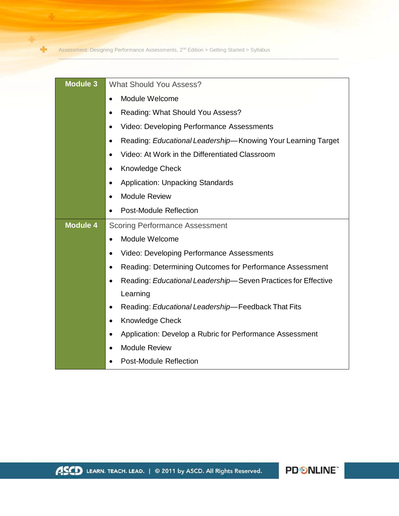÷

| <b>Module 3</b> | <b>What Should You Assess?</b>                                             |
|-----------------|----------------------------------------------------------------------------|
|                 | Module Welcome<br>$\bullet$                                                |
|                 | Reading: What Should You Assess?<br>$\bullet$                              |
|                 | Video: Developing Performance Assessments<br>$\bullet$                     |
|                 | Reading: Educational Leadership-Knowing Your Learning Target<br>$\bullet$  |
|                 | Video: At Work in the Differentiated Classroom<br>$\bullet$                |
|                 | <b>Knowledge Check</b><br>$\bullet$                                        |
|                 | <b>Application: Unpacking Standards</b><br>$\bullet$                       |
|                 | <b>Module Review</b><br>$\bullet$                                          |
|                 | <b>Post-Module Reflection</b><br>$\bullet$                                 |
| <b>Module 4</b> | <b>Scoring Performance Assessment</b>                                      |
|                 | Module Welcome<br>$\bullet$                                                |
|                 | Video: Developing Performance Assessments<br>$\bullet$                     |
|                 | Reading: Determining Outcomes for Performance Assessment<br>$\bullet$      |
|                 | Reading: Educational Leadership-Seven Practices for Effective<br>$\bullet$ |
|                 | Learning                                                                   |
|                 | Reading: Educational Leadership-Feedback That Fits<br>$\bullet$            |
|                 | <b>Knowledge Check</b><br>$\bullet$                                        |
|                 | Application: Develop a Rubric for Performance Assessment<br>$\bullet$      |
|                 | <b>Module Review</b><br>$\bullet$                                          |
|                 | <b>Post-Module Reflection</b>                                              |